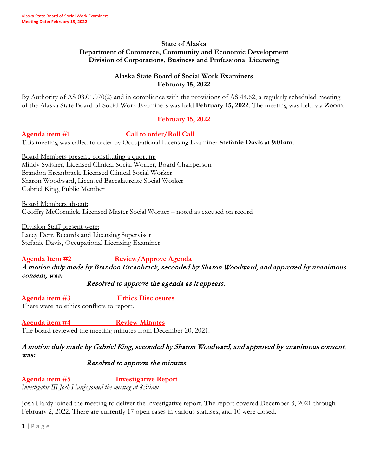#### **State of Alaska Department of Commerce, Community and Economic Development Division of Corporations, Business and Professional Licensing**

## **Alaska State Board of Social Work Examiners February 15, 2022**

By Authority of AS 08.01.070(2) and in compliance with the provisions of AS 44.62, a regularly scheduled meeting of the Alaska State Board of Social Work Examiners was held **February 15, 2022**. The meeting was held via **Zoom**.

## **February 15, 2022**

#### **Agenda item #1 Call to order/Roll Call**

This meeting was called to order by Occupational Licensing Examiner **Stefanie Davis** at **9:01am**.

Board Members present, constituting a quorum: Mindy Swisher, Licensed Clinical Social Worker, Board Chairperson Brandon Ercanbrack, Licensed Clinical Social Worker Sharon Woodward, Licensed Baccalaureate Social Worker Gabriel King, Public Member

Board Members absent: Geoffry McCormick, Licensed Master Social Worker – noted as excused on record

Division Staff present were: Lacey Derr, Records and Licensing Supervisor Stefanie Davis, Occupational Licensing Examiner

# **Agenda Item #2 Review/Approve Agenda**

A motion duly made by Brandon Ercanbrack, seconded by Sharon Woodward, and approved by unanimous consent, was:

Resolved to approve the agenda as it appears.

**Agenda item #3 Ethics Disclosures**

There were no ethics conflicts to report.

Agenda item #4 Review Minutes The board reviewed the meeting minutes from December 20, 2021.

# A motion duly made by Gabriel King, seconded by Sharon Woodward, and approved by unanimous consent, was:

# Resolved to approve the minutes.

**Agenda item #5 Investigative Report** *Investigator III Josh Hardy joined the meeting at 8:59am*

Josh Hardy joined the meeting to deliver the investigative report. The report covered December 3, 2021 through February 2, 2022. There are currently 17 open cases in various statuses, and 10 were closed.

**1 |** Page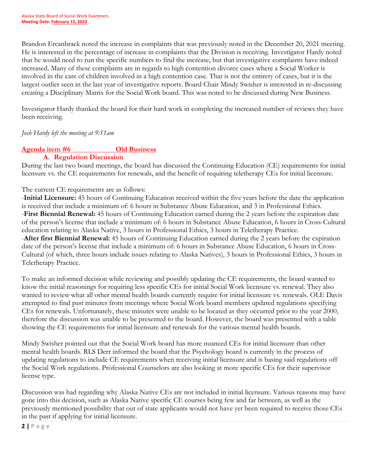Brandon Ercanbrack noted the increase in complaints that was previously noted in the December 20, 2021 meeting. He is interested in the percentage of increase in complaints that the Division is receiving. Investigator Hardy noted that he would need to run the specific numbers to find the increase, but that investigative complaints have indeed increased. Many of these complaints are in regards to high contention divorce cases where a Social Worker is involved in the care of children involved in a high contention case. That is not the entirety of cases, but it is the largest outlier seen in the last year of investigative reports. Board Chair Mindy Swisher is interested in re-discussing creating a Disciplinary Matrix for the Social Work board. This was noted to be discussed during New Business.

Investigator Hardy thanked the board for their hard work in completing the increased number of reviews they have been receiving.

## *Josh Hardy left the meeting at 9:11am*

# **Agenda item #6 Old Business**

## **A. Regulation Discussion**

During the last two board meetings, the board has discussed the Continuing Education (CE) requirements for initial licensure vs. the CE requirements for renewals, and the benefit of requiring teletherapy CEs for initial licensure.

### The current CE requirements are as follows:

-**Initial Licensure:** 45 hours of Continuing Education received within the five years before the date the application is received that include a minimum of: 6 hours in Substance Abuse Education, and 3 in Professional Ethics. -**First Biennial Renewal:** 45 hours of Continuing Education earned during the 2 years before the expiration date of the person's license that include a minimum of: 6 hours in Substance Abuse Education, 6 hours in Cross-Cultural education relating to Alaska Native, 3 hours in Professional Ethics, 3 hours in Teletherapy Practice. -**After first Biennial Renewal:** 45 hours of Continuing Education earned during the 2 years before the expiration date of the person's license that include a minimum of: 6 hours in Substance Abuse Education, 6 hours in Cross-Cultural (of which, three hours include issues relating to Alaska Natives), 3 hours in Professional Ethics, 3 hours in Teletherapy Practice.

To make an informed decision while reviewing and possibly updating the CE requirements, the board wanted to know the initial reasonings for requiring less specific CEs for initial Social Work licensure vs. renewal. They also wanted to review what all other mental health boards currently require for initial licensure vs. renewals. OLE Davis attempted to find past minutes from meetings where Social Work board members updated regulations specifying CEs for renewals. Unfortunately, these minutes were unable to be located as they occurred prior to the year 2000, therefore the discussion was unable to be presented to the board. However, the board was presented with a table showing the CE requirements for initial licensure and renewals for the various mental health boards.

Mindy Swisher pointed out that the Social Work board has more nuanced CEs for initial licensure than other mental health boards. RLS Derr informed the board that the Psychology board is currently in the process of updating regulations to include CE requirements when receiving initial licensure and is basing said regulations off the Social Work regulations. Professional Counselors are also looking at more specific CEs for their supervisor license type.

Discussion was had regarding why Alaska Native CEs are not included in initial licensure. Various reasons may have gone into this decision, such as Alaska Native specific CE courses being few and far between, as well as the previously mentioned possibility that out of state applicants would not have yet been required to receive those CEs in the past if applying for initial licensure.

**2 |** Page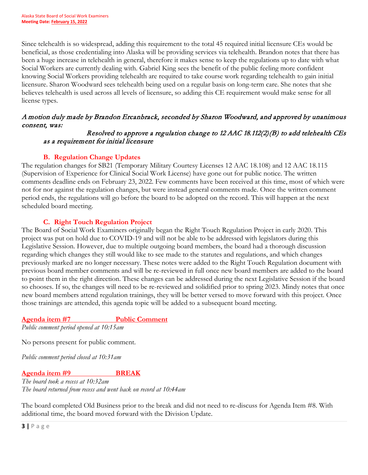Since telehealth is so widespread, adding this requirement to the total 45 required initial licensure CEs would be beneficial, as those credentialing into Alaska will be providing services via telehealth. Brandon notes that there has been a huge increase in telehealth in general, therefore it makes sense to keep the regulations up to date with what Social Workers are currently dealing with. Gabriel King sees the benefit of the public feeling more confident knowing Social Workers providing telehealth are required to take course work regarding telehealth to gain initial licensure. Sharon Woodward sees telehealth being used on a regular basis on long-term care. She notes that she believes telehealth is used across all levels of licensure, so adding this CE requirement would make sense for all license types.

# A motion duly made by Brandon Ercanbrack, seconded by Sharon Woodward, and approved by unanimous consent, was:

## Resolved to approve a regulation change to 12 AAC 18.112(2)(B) to add telehealth CEs as a requirement for initial licensure

# **B. Regulation Change Updates**

The regulation changes for SB21 (Temporary Military Courtesy Licenses 12 AAC 18.108) and 12 AAC 18.115 (Supervision of Experience for Clinical Social Work License) have gone out for public notice. The written comments deadline ends on February 23, 2022. Few comments have been received at this time, most of which were not for nor against the regulation changes, but were instead general comments made. Once the written comment period ends, the regulations will go before the board to be adopted on the record. This will happen at the next scheduled board meeting.

# **C. Right Touch Regulation Project**

The Board of Social Work Examiners originally began the Right Touch Regulation Project in early 2020. This project was put on hold due to COVID-19 and will not be able to be addressed with legislators during this Legislative Session. However, due to multiple outgoing board members, the board had a thorough discussion regarding which changes they still would like to see made to the statutes and regulations, and which changes previously marked are no longer necessary. These notes were added to the Right Touch Regulation document with previous board member comments and will be re-reviewed in full once new board members are added to the board to point them in the right direction. These changes can be addressed during the next Legislative Session if the board so chooses. If so, the changes will need to be re-reviewed and solidified prior to spring 2023. Mindy notes that once new board members attend regulation trainings, they will be better versed to move forward with this project. Once those trainings are attended, this agenda topic will be added to a subsequent board meeting.

# **Agenda item #7 Public Comment**

*Public comment period opened at 10:15am*

No persons present for public comment.

*Public comment period closed at 10:31am*

# **Agenda item #9 BREAK**

*The board took a recess at 10:32am The board returned from recess and went back on record at 10:44am*

The board completed Old Business prior to the break and did not need to re-discuss for Agenda Item #8. With additional time, the board moved forward with the Division Update.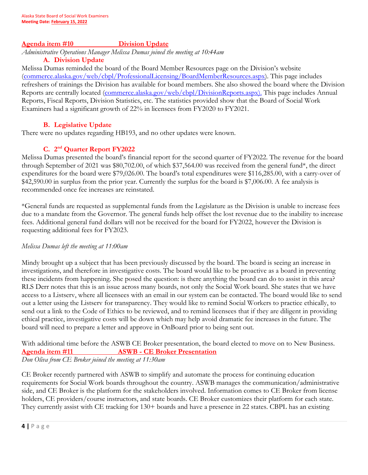#### **Agenda item #10 Division Update**

*Administrative Operations Manager Melissa Dumas joined the meeting at 10:44am*

## **A. Division Update**

Melissa Dumas reminded the board of the Board Member Resources page on the Division's website [\(commerce.alaska.gov/web/cbpl/ProfessionalLicensing/BoardMemberResources.aspx\)](https://www.commerce.alaska.gov/web/cbpl/ProfessionalLicensing/BoardMemberResources.aspx). This page includes refreshers of trainings the Division has available for board members. She also showed the board where the Division Reports are centrally located (*commerce.alaska.gov/web/cbpl/DivisionReports.aspx*). This page includes Annual Reports, Fiscal Reports, Division Statistics, etc. The statistics provided show that the Board of Social Work Examiners had a significant growth of 22% in licensees from FY2020 to FY2021.

## **B. Legislative Update**

There were no updates regarding HB193, and no other updates were known.

## **C. 2nd Quarter Report FY2022**

Melissa Dumas presented the board's financial report for the second quarter of FY2022. The revenue for the board through September of 2021 was \$80,702.00, of which \$37,564.00 was received from the general fund\*, the direct expenditures for the board were \$79,026.00. The board's total expenditures were \$116,285.00, with a carry-over of \$42,590.00 in surplus from the prior year. Currently the surplus for the board is \$7,006.00. A fee analysis is recommended once fee increases are reinstated.

\*General funds are requested as supplemental funds from the Legislature as the Division is unable to increase fees due to a mandate from the Governor. The general funds help offset the lost revenue due to the inability to increase fees. Additional general fund dollars will not be received for the board for FY2022, however the Division is requesting additional fees for FY2023.

#### *Melissa Dumas left the meeting at 11:00am*

Mindy brought up a subject that has been previously discussed by the board. The board is seeing an increase in investigations, and therefore in investigative costs. The board would like to be proactive as a board in preventing these incidents from happening. She posed the question: is there anything the board can do to assist in this area? RLS Derr notes that this is an issue across many boards, not only the Social Work board. She states that we have access to a Listserv, where all licensees with an email in our system can be contacted. The board would like to send out a letter using the Listserv for transparency. They would like to remind Social Workers to practice ethically, to send out a link to the Code of Ethics to be reviewed, and to remind licensees that if they are diligent in providing ethical practice, investigative costs will be down which may help avoid dramatic fee increases in the future. The board will need to prepare a letter and approve in OnBoard prior to being sent out.

With additional time before the ASWB CE Broker presentation, the board elected to move on to New Business. **Agenda item #11 ASWB - CE Broker Presentation** *Don Oliva from CE Broker joined the meeting at 11:30am*

CE Broker recently partnered with ASWB to simplify and automate the process for continuing education requirements for Social Work boards throughout the country. ASWB manages the communication/administrative side, and CE Broker is the platform for the stakeholders involved. Information comes to CE Broker from license holders, CE providers/course instructors, and state boards. CE Broker customizes their platform for each state. They currently assist with CE tracking for 130+ boards and have a presence in 22 states. CBPL has an existing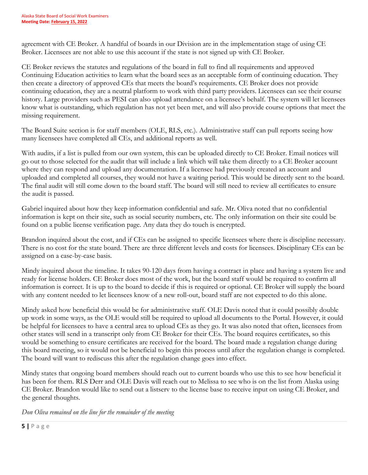agreement with CE Broker. A handful of boards in our Division are in the implementation stage of using CE Broker. Licensees are not able to use this account if the state is not signed up with CE Broker.

CE Broker reviews the statutes and regulations of the board in full to find all requirements and approved Continuing Education activities to learn what the board sees as an acceptable form of continuing education. They then create a directory of approved CEs that meets the board's requirements. CE Broker does not provide continuing education, they are a neutral platform to work with third party providers. Licensees can see their course history. Large providers such as PESI can also upload attendance on a licensee's behalf. The system will let licensees know what is outstanding, which regulation has not yet been met, and will also provide course options that meet the missing requirement.

The Board Suite section is for staff members (OLE, RLS, etc.). Administrative staff can pull reports seeing how many licensees have completed all CEs, and additional reports as well.

With audits, if a list is pulled from our own system, this can be uploaded directly to CE Broker. Email notices will go out to those selected for the audit that will include a link which will take them directly to a CE Broker account where they can respond and upload any documentation. If a licensee had previously created an account and uploaded and completed all courses, they would not have a waiting period. This would be directly sent to the board. The final audit will still come down to the board staff. The board will still need to review all certificates to ensure the audit is passed.

Gabriel inquired about how they keep information confidential and safe. Mr. Oliva noted that no confidential information is kept on their site, such as social security numbers, etc. The only information on their site could be found on a public license verification page. Any data they do touch is encrypted.

Brandon inquired about the cost, and if CEs can be assigned to specific licensees where there is discipline necessary. There is no cost for the state board. There are three different levels and costs for licensees. Disciplinary CEs can be assigned on a case-by-case basis.

Mindy inquired about the timeline. It takes 90-120 days from having a contract in place and having a system live and ready for license holders. CE Broker does most of the work, but the board staff would be required to confirm all information is correct. It is up to the board to decide if this is required or optional. CE Broker will supply the board with any content needed to let licensees know of a new roll-out, board staff are not expected to do this alone.

Mindy asked how beneficial this would be for administrative staff. OLE Davis noted that it could possibly double up work in some ways, as the OLE would still be required to upload all documents to the Portal. However, it could be helpful for licensees to have a central area to upload CEs as they go. It was also noted that often, licensees from other states will send in a transcript only from CE Broker for their CEs. The board requires certificates, so this would be something to ensure certificates are received for the board. The board made a regulation change during this board meeting, so it would not be beneficial to begin this process until after the regulation change is completed. The board will want to rediscuss this after the regulation change goes into effect.

Mindy states that ongoing board members should reach out to current boards who use this to see how beneficial it has been for them. RLS Derr and OLE Davis will reach out to Melissa to see who is on the list from Alaska using CE Broker. Brandon would like to send out a listserv to the license base to receive input on using CE Broker, and the general thoughts.

*Don Oliva remained on the line for the remainder of the meeting*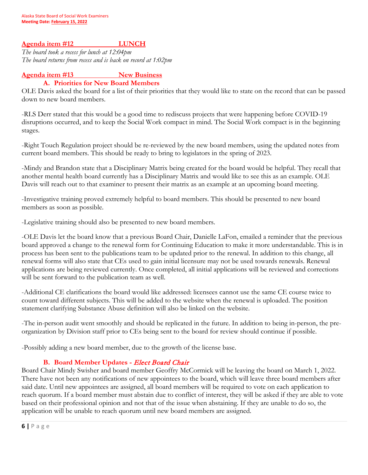### **Agenda item #12 LUNCH**

*The board took a recess for lunch at 12:04pm The board returns from recess and is back on record at 1:02pm*

### Agenda item #13 New Business

#### **A. Priorities for New Board Members**

OLE Davis asked the board for a list of their priorities that they would like to state on the record that can be passed down to new board members.

-RLS Derr stated that this would be a good time to rediscuss projects that were happening before COVID-19 disruptions occurred, and to keep the Social Work compact in mind. The Social Work compact is in the beginning stages.

-Right Touch Regulation project should be re-reviewed by the new board members, using the updated notes from current board members. This should be ready to bring to legislators in the spring of 2023.

-Mindy and Brandon state that a Disciplinary Matrix being created for the board would be helpful. They recall that another mental health board currently has a Disciplinary Matrix and would like to see this as an example. OLE Davis will reach out to that examiner to present their matrix as an example at an upcoming board meeting.

-Investigative training proved extremely helpful to board members. This should be presented to new board members as soon as possible.

-Legislative training should also be presented to new board members.

-OLE Davis let the board know that a previous Board Chair, Danielle LaFon, emailed a reminder that the previous board approved a change to the renewal form for Continuing Education to make it more understandable. This is in process has been sent to the publications team to be updated prior to the renewal. In addition to this change, all renewal forms will also state that CEs used to gain initial licensure may not be used towards renewals. Renewal applications are being reviewed currently. Once completed, all initial applications will be reviewed and corrections will be sent forward to the publication team as well.

-Additional CE clarifications the board would like addressed: licensees cannot use the same CE course twice to count toward different subjects. This will be added to the website when the renewal is uploaded. The position statement clarifying Substance Abuse definition will also be linked on the website.

-The in-person audit went smoothly and should be replicated in the future. In addition to being in-person, the preorganization by Division staff prior to CEs being sent to the board for review should continue if possible.

-Possibly adding a new board member, due to the growth of the license base.

#### **B. Board Member Updates -** Elect Board Chair

Board Chair Mindy Swisher and board member Geoffry McCormick will be leaving the board on March 1, 2022. There have not been any notifications of new appointees to the board, which will leave three board members after said date. Until new appointees are assigned, all board members will be required to vote on each application to reach quorum. If a board member must abstain due to conflict of interest, they will be asked if they are able to vote based on their professional opinion and not that of the issue when abstaining. If they are unable to do so, the application will be unable to reach quorum until new board members are assigned.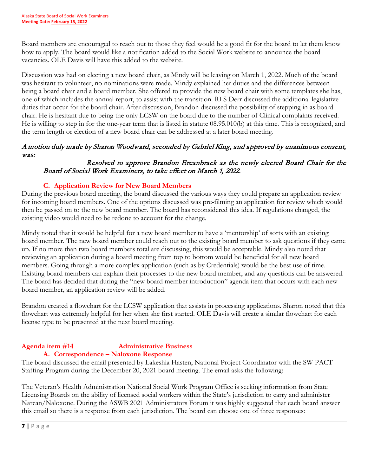Board members are encouraged to reach out to those they feel would be a good fit for the board to let them know how to apply. The board would like a notification added to the Social Work website to announce the board vacancies. OLE Davis will have this added to the website.

Discussion was had on electing a new board chair, as Mindy will be leaving on March 1, 2022. Much of the board was hesitant to volunteer, no nominations were made. Mindy explained her duties and the differences between being a board chair and a board member. She offered to provide the new board chair with some templates she has, one of which includes the annual report, to assist with the transition. RLS Derr discussed the additional legislative duties that occur for the board chair. After discussion, Brandon discussed the possibility of stepping in as board chair. He is hesitant due to being the only LCSW on the board due to the number of Clinical complaints received. He is willing to step in for the one-year term that is listed in statute 08.95.010(b) at this time. This is recognized, and the term length or election of a new board chair can be addressed at a later board meeting.

# A motion duly made by Sharon Woodward, seconded by Gabriel King, and approved by unanimous consent, was:

## Resolved to approve Brandon Ercanbrack as the newly elected Board Chair for the Board of Social Work Examiners, to take effect on March 1, 2022.

# **C. Application Review for New Board Members**

During the previous board meeting, the board discussed the various ways they could prepare an application review for incoming board members. One of the options discussed was pre-filming an application for review which would then be passed on to the new board member. The board has reconsidered this idea. If regulations changed, the existing video would need to be redone to account for the change.

Mindy noted that it would be helpful for a new board member to have a 'mentorship' of sorts with an existing board member. The new board member could reach out to the existing board member to ask questions if they came up. If no more than two board members total are discussing, this would be acceptable. Mindy also noted that reviewing an application during a board meeting from top to bottom would be beneficial for all new board members. Going through a more complex application (such as by Credentials) would be the best use of time. Existing board members can explain their processes to the new board member, and any questions can be answered. The board has decided that during the "new board member introduction" agenda item that occurs with each new board member, an application review will be added.

Brandon created a flowchart for the LCSW application that assists in processing applications. Sharon noted that this flowchart was extremely helpful for her when she first started. OLE Davis will create a similar flowchart for each license type to be presented at the next board meeting.

# **Agenda item #14 Administrative Business**

## **A. Correspondence – Naloxone Response**

The board discussed the email presented by Lakeshia Hasten, National Project Coordinator with the SW PACT Staffing Program during the December 20, 2021 board meeting. The email asks the following:

The Veteran's Health Administration National Social Work Program Office is seeking information from State Licensing Boards on the ability of licensed social workers within the State's jurisdiction to carry and administer Narcan/Naloxone. During the ASWB 2021 Administrators Forum it was highly suggested that each board answer this email so there is a response from each jurisdiction. The board can choose one of three responses: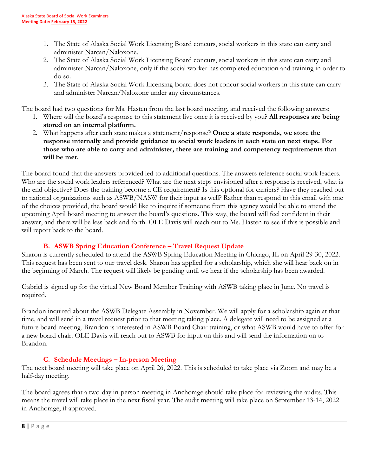- 1. The State of Alaska Social Work Licensing Board concurs, social workers in this state can carry and administer Narcan/Naloxone.
- 2. The State of Alaska Social Work Licensing Board concurs, social workers in this state can carry and administer Narcan/Naloxone, only if the social worker has completed education and training in order to do so.
- 3. The State of Alaska Social Work Licensing Board does not concur social workers in this state can carry and administer Narcan/Naloxone under any circumstances.

The board had two questions for Ms. Hasten from the last board meeting, and received the following answers:

- 1. Where will the board's response to this statement live once it is received by you? **All responses are being stored on an internal platform.**
- 2. What happens after each state makes a statement/response? **Once a state responds, we store the response internally and provide guidance to social work leaders in each state on next steps. For those who are able to carry and administer, there are training and competency requirements that will be met.**

The board found that the answers provided led to additional questions. The answers reference social work leaders. Who are the social work leaders referenced? What are the next steps envisioned after a response is received, what is the end objective? Does the training become a CE requirement? Is this optional for carriers? Have they reached out to national organizations such as ASWB/NASW for their input as well? Rather than respond to this email with one of the choices provided, the board would like to inquire if someone from this agency would be able to attend the upcoming April board meeting to answer the board's questions. This way, the board will feel confident in their answer, and there will be less back and forth. OLE Davis will reach out to Ms. Hasten to see if this is possible and will report back to the board.

# **B. ASWB Spring Education Conference – Travel Request Update**

Sharon is currently scheduled to attend the ASWB Spring Education Meeting in Chicago, IL on April 29-30, 2022. This request has been sent to our travel desk. Sharon has applied for a scholarship, which she will hear back on in the beginning of March. The request will likely be pending until we hear if the scholarship has been awarded.

Gabriel is signed up for the virtual New Board Member Training with ASWB taking place in June. No travel is required.

Brandon inquired about the ASWB Delegate Assembly in November. We will apply for a scholarship again at that time, and will send in a travel request prior to that meeting taking place. A delegate will need to be assigned at a future board meeting. Brandon is interested in ASWB Board Chair training, or what ASWB would have to offer for a new board chair. OLE Davis will reach out to ASWB for input on this and will send the information on to Brandon.

# **C. Schedule Meetings – In-person Meeting**

The next board meeting will take place on April 26, 2022. This is scheduled to take place via Zoom and may be a half-day meeting.

The board agrees that a two-day in-person meeting in Anchorage should take place for reviewing the audits. This means the travel will take place in the next fiscal year. The audit meeting will take place on September 13-14, 2022 in Anchorage, if approved.